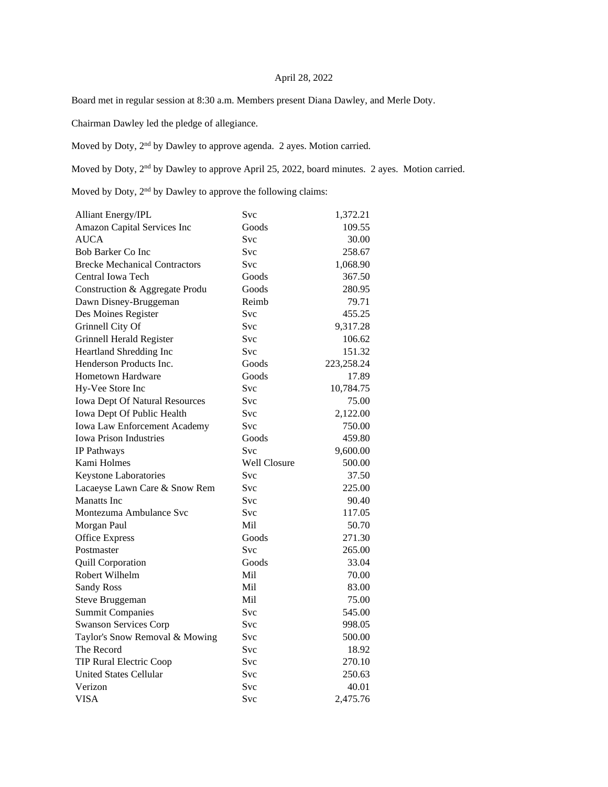## April 28, 2022

Board met in regular session at 8:30 a.m. Members present Diana Dawley, and Merle Doty.

Chairman Dawley led the pledge of allegiance.

Moved by Doty, 2nd by Dawley to approve agenda. 2 ayes. Motion carried.

Moved by Doty,  $2^{nd}$  by Dawley to approve April 25, 2022, board minutes. 2 ayes. Motion carried.

Moved by Doty, 2nd by Dawley to approve the following claims:

| <b>Alliant Energy/IPL</b>             | Svc          | 1,372.21   |
|---------------------------------------|--------------|------------|
| Amazon Capital Services Inc           | Goods        | 109.55     |
| <b>AUCA</b>                           | <b>Svc</b>   | 30.00      |
| Bob Barker Co Inc                     | <b>Svc</b>   | 258.67     |
| <b>Brecke Mechanical Contractors</b>  | <b>Svc</b>   | 1,068.90   |
| Central Iowa Tech                     | Goods        | 367.50     |
| Construction & Aggregate Produ        | Goods        | 280.95     |
| Dawn Disney-Bruggeman                 | Reimb        | 79.71      |
| Des Moines Register                   | Svc          | 455.25     |
| Grinnell City Of                      | <b>Svc</b>   | 9,317.28   |
| Grinnell Herald Register              | <b>Svc</b>   | 106.62     |
| Heartland Shredding Inc               | <b>Svc</b>   | 151.32     |
| Henderson Products Inc.               | Goods        | 223,258.24 |
| <b>Hometown Hardware</b>              | Goods        | 17.89      |
| Hy-Vee Store Inc                      | <b>Svc</b>   | 10,784.75  |
| <b>Iowa Dept Of Natural Resources</b> | <b>Svc</b>   | 75.00      |
| Iowa Dept Of Public Health            | <b>Svc</b>   | 2,122.00   |
| Iowa Law Enforcement Academy          | Svc          | 750.00     |
| <b>Iowa Prison Industries</b>         | Goods        | 459.80     |
| IP Pathways                           | <b>Svc</b>   | 9,600.00   |
| Kami Holmes                           | Well Closure | 500.00     |
| Keystone Laboratories                 | <b>Svc</b>   | 37.50      |
| Lacaeyse Lawn Care & Snow Rem         | <b>Svc</b>   | 225.00     |
| <b>Manatts</b> Inc.                   | Svc          | 90.40      |
| Montezuma Ambulance Svc               | Svc          | 117.05     |
| Morgan Paul                           | Mil          | 50.70      |
| <b>Office Express</b>                 | Goods        | 271.30     |
| Postmaster                            | Svc          | 265.00     |
| <b>Quill Corporation</b>              | Goods        | 33.04      |
| Robert Wilhelm                        | Mil          | 70.00      |
| <b>Sandy Ross</b>                     | Mil          | 83.00      |
| Steve Bruggeman                       |              |            |
|                                       | Mil          | 75.00      |
| <b>Summit Companies</b>               | Svc          | 545.00     |
| <b>Swanson Services Corp</b>          | Svc          | 998.05     |
| Taylor's Snow Removal & Mowing        | Svc          | 500.00     |
| The Record                            | <b>Svc</b>   | 18.92      |
| <b>TIP Rural Electric Coop</b>        | Svc          | 270.10     |
| <b>United States Cellular</b>         | Svc          | 250.63     |
| Verizon                               | Svc          | 40.01      |